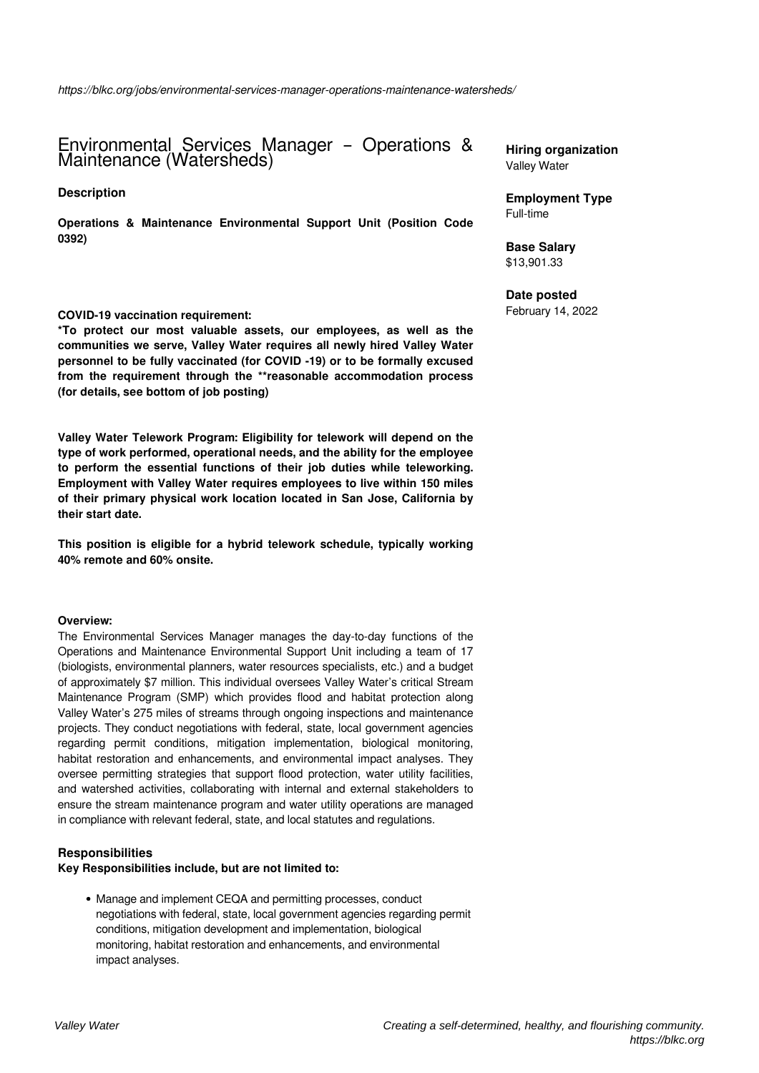Environmental Services Manager – Operations & Maintenance (Watersheds)

## **Description**

**Operations & Maintenance Environmental Support Unit (Position Code 0392)**

### **COVID-19 vaccination requirement:**

**\*To protect our most valuable assets, our employees, as well as the communities we serve, Valley Water requires all newly hired Valley Water personnel to be fully vaccinated (for COVID -19) or to be formally excused from the requirement through the \*\*reasonable accommodation process (for details, see bottom of job posting)**

**Valley Water Telework Program: Eligibility for telework will depend on the type of work performed, operational needs, and the ability for the employee to perform the essential functions of their job duties while teleworking. Employment with Valley Water requires employees to live within 150 miles of their primary physical work location located in San Jose, California by their start date.** 

**This position is eligible for a hybrid telework schedule, typically working 40% remote and 60% onsite.**

## **Overview:**

The Environmental Services Manager manages the day-to-day functions of the Operations and Maintenance Environmental Support Unit including a team of 17 (biologists, environmental planners, water resources specialists, etc.) and a budget of approximately \$7 million. This individual oversees Valley Water's critical Stream Maintenance Program (SMP) which provides flood and habitat protection along Valley Water's 275 miles of streams through ongoing inspections and maintenance projects. They conduct negotiations with federal, state, local government agencies regarding permit conditions, mitigation implementation, biological monitoring, habitat restoration and enhancements, and environmental impact analyses. They oversee permitting strategies that support flood protection, water utility facilities, and watershed activities, collaborating with internal and external stakeholders to ensure the stream maintenance program and water utility operations are managed in compliance with relevant federal, state, and local statutes and regulations.

## **Responsibilities**

### **Key Responsibilities include, but are not limited to:**

Manage and implement CEQA and permitting processes, conduct negotiations with federal, state, local government agencies regarding permit conditions, mitigation development and implementation, biological monitoring, habitat restoration and enhancements, and environmental impact analyses.

**Hiring organization** Valley Water

**Employment Type** Full-time

**Base Salary** \$13,901.33

#### **Date posted**

February 14, 2022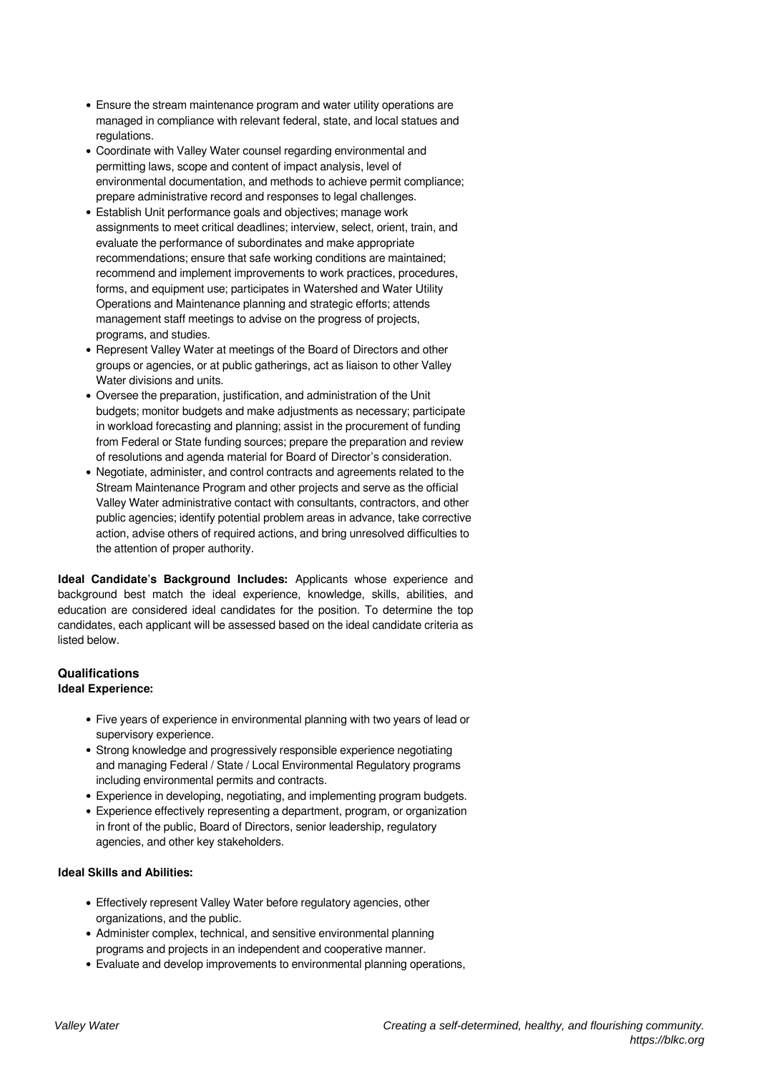- Ensure the stream maintenance program and water utility operations are managed in compliance with relevant federal, state, and local statues and regulations.
- Coordinate with Valley Water counsel regarding environmental and permitting laws, scope and content of impact analysis, level of environmental documentation, and methods to achieve permit compliance; prepare administrative record and responses to legal challenges.
- Establish Unit performance goals and objectives; manage work assignments to meet critical deadlines; interview, select, orient, train, and evaluate the performance of subordinates and make appropriate recommendations; ensure that safe working conditions are maintained; recommend and implement improvements to work practices, procedures, forms, and equipment use; participates in Watershed and Water Utility Operations and Maintenance planning and strategic efforts; attends management staff meetings to advise on the progress of projects, programs, and studies.
- Represent Valley Water at meetings of the Board of Directors and other groups or agencies, or at public gatherings, act as liaison to other Valley Water divisions and units.
- Oversee the preparation, justification, and administration of the Unit budgets; monitor budgets and make adjustments as necessary; participate in workload forecasting and planning; assist in the procurement of funding from Federal or State funding sources; prepare the preparation and review of resolutions and agenda material for Board of Director's consideration.
- Negotiate, administer, and control contracts and agreements related to the Stream Maintenance Program and other projects and serve as the official Valley Water administrative contact with consultants, contractors, and other public agencies; identify potential problem areas in advance, take corrective action, advise others of required actions, and bring unresolved difficulties to the attention of proper authority.

**Ideal Candidate's Background Includes:** Applicants whose experience and background best match the ideal experience, knowledge, skills, abilities, and education are considered ideal candidates for the position. To determine the top candidates, each applicant will be assessed based on the ideal candidate criteria as listed below.

# **Qualifications**

# **Ideal Experience:**

- Five years of experience in environmental planning with two years of lead or supervisory experience.
- Strong knowledge and progressively responsible experience negotiating and managing Federal / State / Local Environmental Regulatory programs including environmental permits and contracts.
- Experience in developing, negotiating, and implementing program budgets.
- Experience effectively representing a department, program, or organization in front of the public, Board of Directors, senior leadership, regulatory agencies, and other key stakeholders.

# **Ideal Skills and Abilities:**

- Effectively represent Valley Water before regulatory agencies, other organizations, and the public.
- Administer complex, technical, and sensitive environmental planning programs and projects in an independent and cooperative manner.
- Evaluate and develop improvements to environmental planning operations,